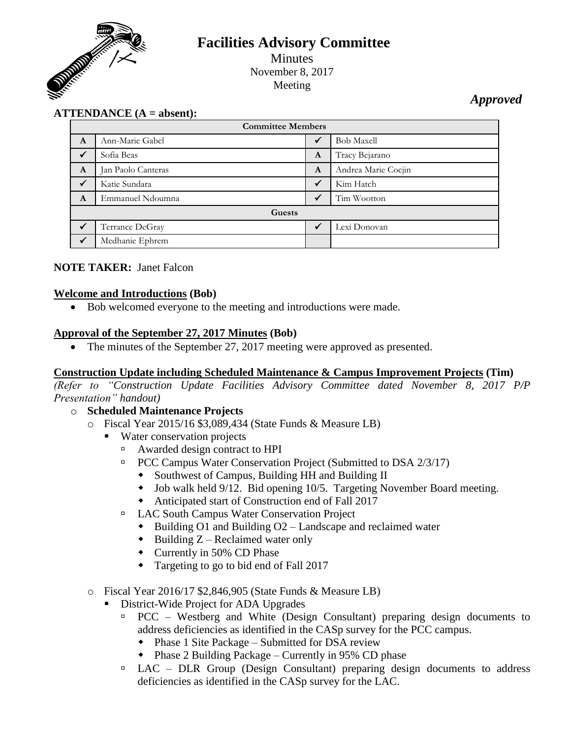

# **Facilities Advisory Committee**

Minutes November 8, 2017 Meeting

*Approved*

# **ATTENDANCE (A = absent):**

| <b>Committee Members</b> |                    |   |                     |
|--------------------------|--------------------|---|---------------------|
| A                        | Ann-Marie Gabel    | ✔ | <b>Bob Maxell</b>   |
| $\checkmark$             | Sofia Beas         | A | Tracy Bejarano      |
| A                        | Jan Paolo Canteras | A | Andrea Marie Cocjin |
| $\checkmark$             | Katie Sundara      | ✔ | Kim Hatch           |
| A                        | Emmanuel Ndoumna   | ✔ | Tim Wootton         |
| Guests                   |                    |   |                     |
|                          | Terrance DeGray    |   | Lexi Donovan        |
| $\checkmark$             | Medhanie Ephrem    |   |                     |

#### **NOTE TAKER:** Janet Falcon

#### **Welcome and Introductions (Bob)**

Bob welcomed everyone to the meeting and introductions were made.

#### **Approval of the September 27, 2017 Minutes (Bob)**

• The minutes of the September 27, 2017 meeting were approved as presented.

#### **Construction Update including Scheduled Maintenance & Campus Improvement Projects (Tim)**

*(Refer to "Construction Update Facilities Advisory Committee dated November 8, 2017 P/P Presentation" handout)*

- o **Scheduled Maintenance Projects**
	- o Fiscal Year 2015/16 \$3,089,434 (State Funds & Measure LB)
		- Water conservation projects
			- Awarded design contract to HPI
			- □ PCC Campus Water Conservation Project (Submitted to DSA 2/3/17)
				- Southwest of Campus, Building HH and Building II
				- Job walk held 9/12. Bid opening 10/5. Targeting November Board meeting.
				- Anticipated start of Construction end of Fall 2017
			- LAC South Campus Water Conservation Project
				- $\bullet$  Building O1 and Building O2 Landscape and reclaimed water
				- $\bullet$  Building Z Reclaimed water only
				- Currently in 50% CD Phase
				- Targeting to go to bid end of Fall 2017

#### o Fiscal Year 2016/17 \$2,846,905 (State Funds & Measure LB)

- District-Wide Project for ADA Upgrades
	- $PCC Westberg$  and White (Design Consultant) preparing design documents to address deficiencies as identified in the CASp survey for the PCC campus.
		- Phase 1 Site Package Submitted for DSA review
		- Phase 2 Building Package Currently in 95% CD phase
	- $\Box$  LAC DLR Group (Design Consultant) preparing design documents to address deficiencies as identified in the CASp survey for the LAC.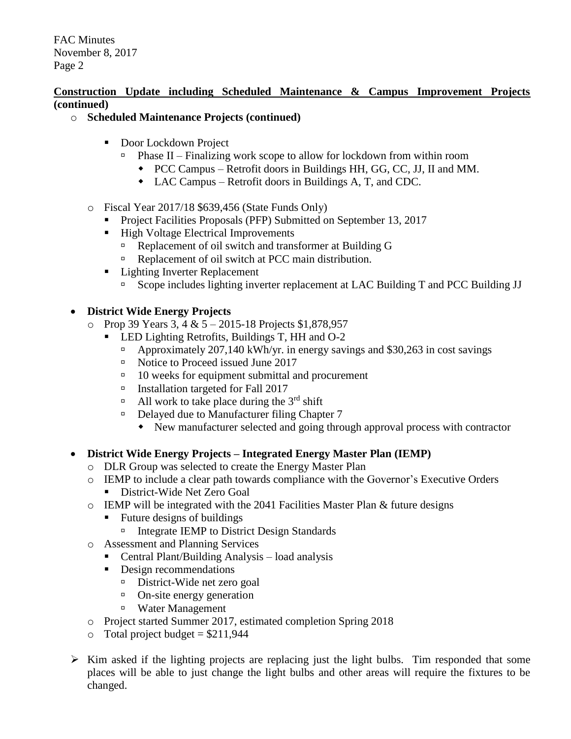#### **Construction Update including Scheduled Maintenance & Campus Improvement Projects (continued)**

- o **Scheduled Maintenance Projects (continued)**
	- Door Lockdown Project
		- $\Box$  Phase II Finalizing work scope to allow for lockdown from within room
			- PCC Campus Retrofit doors in Buildings HH, GG, CC, JJ, II and MM.
			- LAC Campus Retrofit doors in Buildings A, T, and CDC.
	- o Fiscal Year 2017/18 \$639,456 (State Funds Only)
		- **Project Facilities Proposals (PFP) Submitted on September 13, 2017**
		- High Voltage Electrical Improvements
			- Replacement of oil switch and transformer at Building G
			- Replacement of oil switch at PCC main distribution.
		- **Lighting Inverter Replacement** 
			- □ Scope includes lighting inverter replacement at LAC Building T and PCC Building JJ

## **District Wide Energy Projects**

- $\circ$  Prop 39 Years 3, 4 & 5 2015-18 Projects \$1,878,957
	- **LED Lighting Retrofits, Buildings T, HH and O-2** 
		- Approximately 207,140 kWh/yr. in energy savings and \$30,263 in cost savings
		- □ Notice to Proceed issued June 2017
		- $\Box$  10 weeks for equipment submittal and procurement
		- Installation targeted for Fall 2017
		- All work to take place during the  $3<sup>rd</sup>$  shift
		- □ Delayed due to Manufacturer filing Chapter 7
			- New manufacturer selected and going through approval process with contractor
- **District Wide Energy Projects – Integrated Energy Master Plan (IEMP)**
	- o DLR Group was selected to create the Energy Master Plan
	- o IEMP to include a clear path towards compliance with the Governor's Executive Orders **District-Wide Net Zero Goal**
	- o IEMP will be integrated with the 2041 Facilities Master Plan & future designs
		- Future designs of buildings
			- □ Integrate IEMP to District Design Standards
	- o Assessment and Planning Services
		- Central Plant/Building Analysis load analysis
		- Design recommendations
			- District-Wide net zero goal
			- <sup>o</sup> On-site energy generation
			- Water Management
	- o Project started Summer 2017, estimated completion Spring 2018
	- $\circ$  Total project budget = \$211,944
- $\triangleright$  Kim asked if the lighting projects are replacing just the light bulbs. Tim responded that some places will be able to just change the light bulbs and other areas will require the fixtures to be changed.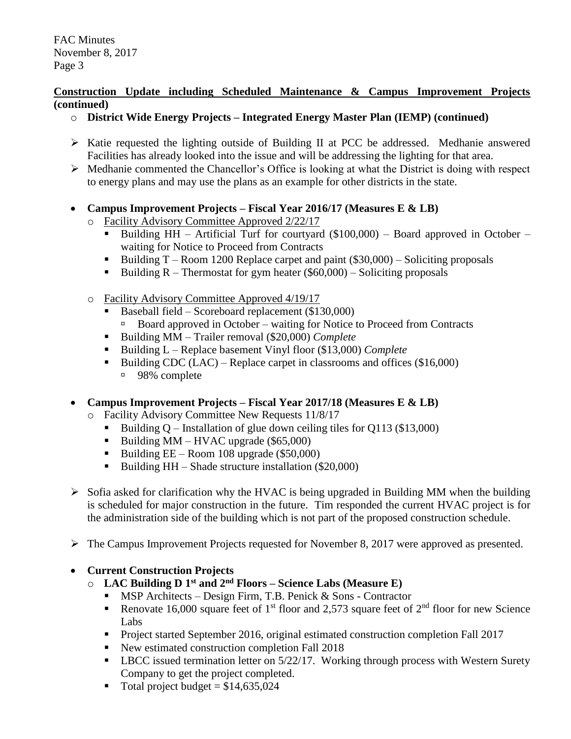#### **Construction Update including Scheduled Maintenance & Campus Improvement Projects (continued)**

- o **District Wide Energy Projects – Integrated Energy Master Plan (IEMP) (continued)**
- $\triangleright$  Katie requested the lighting outside of Building II at PCC be addressed. Medhanie answered Facilities has already looked into the issue and will be addressing the lighting for that area.
- $\triangleright$  Medhanie commented the Chancellor's Office is looking at what the District is doing with respect to energy plans and may use the plans as an example for other districts in the state.
- **Campus Improvement Projects – Fiscal Year 2016/17 (Measures E & LB)**
	- o Facility Advisory Committee Approved 2/22/17
		- Building HH Artificial Turf for courtyard (\$100,000) Board approved in October waiting for Notice to Proceed from Contracts
		- Building  $T -$ Room 1200 Replace carpet and paint (\$30,000) Soliciting proposals
		- Building  $R$  Thermostat for gym heater (\$60,000) Soliciting proposals
	- o Facility Advisory Committee Approved 4/19/17
		- Baseball field Scoreboard replacement (\$130,000)
			- Board approved in October waiting for Notice to Proceed from Contracts
		- Building MM Trailer removal (\$20,000) *Complete*
		- Building L Replace basement Vinyl floor (\$13,000) *Complete*
		- Building CDC (LAC) Replace carpet in classrooms and offices  $(\$16,000)$ 98% complete
- **Campus Improvement Projects – Fiscal Year 2017/18 (Measures E & LB)**
	- o Facility Advisory Committee New Requests 11/8/17
		- Building  $Q$  Installation of glue down ceiling tiles for Q113 (\$13,000)
		- Building MM HVAC upgrade  $(\$65,000)$
		- Building  $EE Room$  108 upgrade (\$50,000)
		- Building  $HH -$  Shade structure installation (\$20,000)
- $\triangleright$  Sofia asked for clarification why the HVAC is being upgraded in Building MM when the building is scheduled for major construction in the future. Tim responded the current HVAC project is for the administration side of the building which is not part of the proposed construction schedule.
- The Campus Improvement Projects requested for November 8, 2017 were approved as presented.

#### **Current Construction Projects**

- o **LAC Building D 1 st and 2nd Floors – Science Labs (Measure E)**
	- $\blacksquare$  MSP Architects Design Firm, T.B. Penick & Sons Contractor
	- Renovate 16,000 square feet of 1<sup>st</sup> floor and 2,573 square feet of  $2<sup>nd</sup>$  floor for new Science Labs
	- Project started September 2016, original estimated construction completion Fall 2017
	- New estimated construction completion Fall 2018
	- **-** LBCC issued termination letter on  $5/22/17$ . Working through process with Western Surety Company to get the project completed.
	- Total project budget =  $$14,635,024$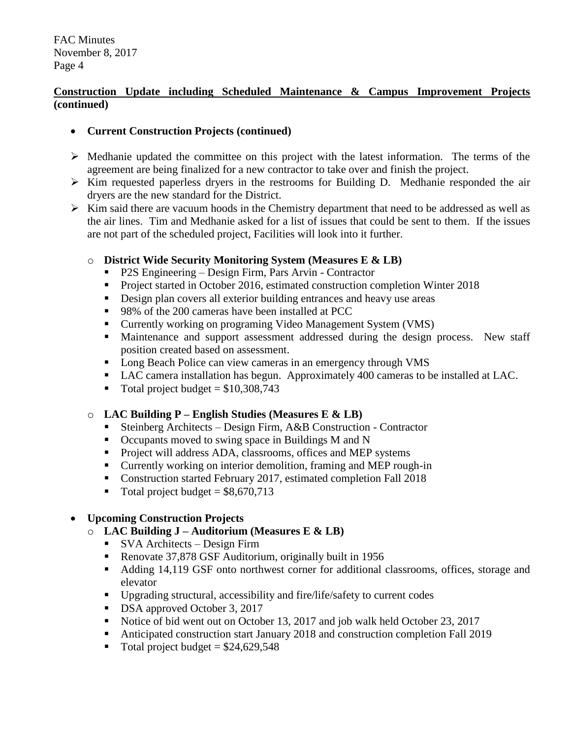## **Construction Update including Scheduled Maintenance & Campus Improvement Projects (continued)**

## **Current Construction Projects (continued)**

- $\triangleright$  Medhanie updated the committee on this project with the latest information. The terms of the agreement are being finalized for a new contractor to take over and finish the project.
- $\triangleright$  Kim requested paperless dryers in the restrooms for Building D. Medhanie responded the air dryers are the new standard for the District.
- $\triangleright$  Kim said there are vacuum hoods in the Chemistry department that need to be addressed as well as the air lines. Tim and Medhanie asked for a list of issues that could be sent to them. If the issues are not part of the scheduled project, Facilities will look into it further.

## o **District Wide Security Monitoring System (Measures E & LB)**

- P2S Engineering Design Firm, Pars Arvin Contractor
- **Project started in October 2016, estimated construction completion Winter 2018**
- Design plan covers all exterior building entrances and heavy use areas
- 98% of the 200 cameras have been installed at PCC
- Currently working on programing Video Management System (VMS)
- Maintenance and support assessment addressed during the design process. New staff position created based on assessment.
- Long Beach Police can view cameras in an emergency through VMS
- LAC camera installation has begun. Approximately 400 cameras to be installed at LAC.
- $\blacksquare$  Total project budget = \$10,308,743

# o **LAC Building P – English Studies (Measures E & LB)**

- Steinberg Architects Design Firm, A&B Construction Contractor
- Occupants moved to swing space in Buildings M and N
- **Project will address ADA, classrooms, offices and MEP systems**
- Currently working on interior demolition, framing and MEP rough-in
- Construction started February 2017, estimated completion Fall 2018
- $\blacksquare$  Total project budget = \$8,670,713

# **Upcoming Construction Projects**

- o **LAC Building J – Auditorium (Measures E & LB)**
	- SVA Architects Design Firm
	- Renovate 37,878 GSF Auditorium, originally built in 1956
	- Adding 14,119 GSF onto northwest corner for additional classrooms, offices, storage and elevator
	- Upgrading structural, accessibility and fire/life/safety to current codes
	- DSA approved October 3, 2017
	- Notice of bid went out on October 13, 2017 and job walk held October 23, 2017
	- Anticipated construction start January 2018 and construction completion Fall 2019
	- Total project budget =  $$24,629,548$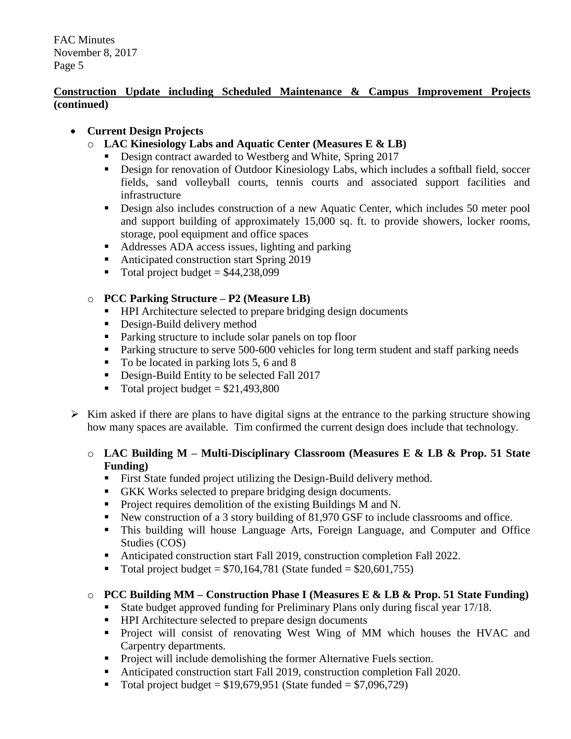## **Construction Update including Scheduled Maintenance & Campus Improvement Projects (continued)**

## **Current Design Projects**

- o **LAC Kinesiology Labs and Aquatic Center (Measures E & LB)**
	- Design contract awarded to Westberg and White, Spring 2017
	- Design for renovation of Outdoor Kinesiology Labs, which includes a softball field, soccer fields, sand volleyball courts, tennis courts and associated support facilities and infrastructure
	- **Design also includes construction of a new Aquatic Center, which includes 50 meter pool** and support building of approximately 15,000 sq. ft. to provide showers, locker rooms, storage, pool equipment and office spaces
	- Addresses ADA access issues, lighting and parking
	- Anticipated construction start Spring 2019
	- $\blacksquare$  Total project budget = \$44,238,099

## o **PCC Parking Structure – P2 (Measure LB)**

- **HPI** Architecture selected to prepare bridging design documents
- **Design-Build delivery method**
- Parking structure to include solar panels on top floor
- **Parking structure to serve 500-600 vehicles for long term student and staff parking needs**
- $\blacksquare$  To be located in parking lots 5, 6 and 8
- Design-Build Entity to be selected Fall 2017
- $\blacksquare$  Total project budget = \$21,493,800
- $\triangleright$  Kim asked if there are plans to have digital signs at the entrance to the parking structure showing how many spaces are available. Tim confirmed the current design does include that technology.

#### o **LAC Building M – Multi-Disciplinary Classroom (Measures E & LB & Prop. 51 State Funding)**

- First State funded project utilizing the Design-Build delivery method.
- GKK Works selected to prepare bridging design documents.
- **Project requires demolition of the existing Buildings M and N.**
- New construction of a 3 story building of 81,970 GSF to include classrooms and office.
- This building will house Language Arts, Foreign Language, and Computer and Office Studies (COS)
- Anticipated construction start Fall 2019, construction completion Fall 2022.
- $\blacksquare$  Total project budget = \$70,164,781 (State funded = \$20,601,755)

# o **PCC Building MM – Construction Phase I (Measures E & LB & Prop. 51 State Funding)**

- State budget approved funding for Preliminary Plans only during fiscal year 17/18.
- HPI Architecture selected to prepare design documents
- Project will consist of renovating West Wing of MM which houses the HVAC and Carpentry departments.
- **Project will include demolishing the former Alternative Fuels section.**
- Anticipated construction start Fall 2019, construction completion Fall 2020.
- Total project budget =  $$19,679,951$  (State funded =  $$7,096,729$ )